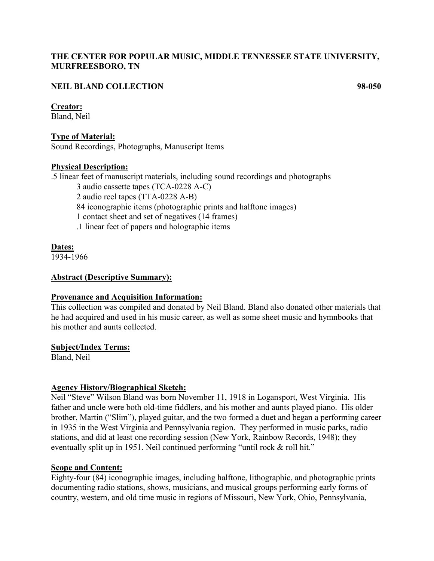## **THE CENTER FOR POPULAR MUSIC, MIDDLE TENNESSEE STATE UNIVERSITY, MURFREESBORO, TN**

## **NEIL BLAND COLLECTION 98-050**

#### **Creator:**

Bland, Neil

**Type of Material:** Sound Recordings, Photographs, Manuscript Items

#### **Physical Description:**

.5 linear feet of manuscript materials, including sound recordings and photographs

3 audio cassette tapes (TCA-0228 A-C) 2 audio reel tapes (TTA-0228 A-B)

84 iconographic items (photographic prints and halftone images)

1 contact sheet and set of negatives (14 frames)

.1 linear feet of papers and holographic items

### **Dates:**

1934-1966

### **Abstract (Descriptive Summary):**

#### **Provenance and Acquisition Information:**

This collection was compiled and donated by Neil Bland. Bland also donated other materials that he had acquired and used in his music career, as well as some sheet music and hymnbooks that his mother and aunts collected.

#### **Subject/Index Terms:**

Bland, Neil

## **Agency History/Biographical Sketch:**

Neil "Steve" Wilson Bland was born November 11, 1918 in Logansport, West Virginia. His father and uncle were both old-time fiddlers, and his mother and aunts played piano. His older brother, Martin ("Slim"), played guitar, and the two formed a duet and began a performing career in 1935 in the West Virginia and Pennsylvania region. They performed in music parks, radio stations, and did at least one recording session (New York, Rainbow Records, 1948); they eventually split up in 1951. Neil continued performing "until rock & roll hit."

## **Scope and Content:**

Eighty-four (84) iconographic images, including halftone, lithographic, and photographic prints documenting radio stations, shows, musicians, and musical groups performing early forms of country, western, and old time music in regions of Missouri, New York, Ohio, Pennsylvania,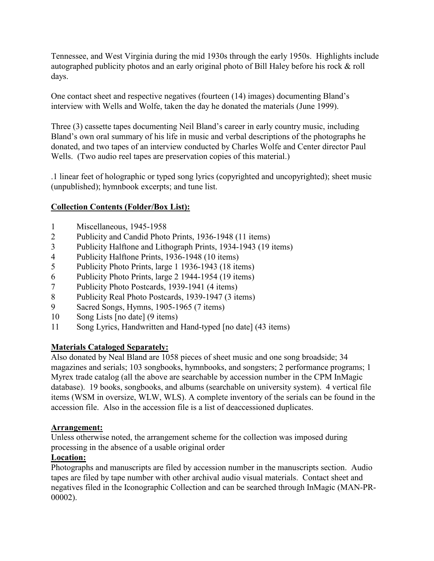Tennessee, and West Virginia during the mid 1930s through the early 1950s. Highlights include autographed publicity photos and an early original photo of Bill Haley before his rock & roll days.

One contact sheet and respective negatives (fourteen (14) images) documenting Bland's interview with Wells and Wolfe, taken the day he donated the materials (June 1999).

Three (3) cassette tapes documenting Neil Bland's career in early country music, including Bland's own oral summary of his life in music and verbal descriptions of the photographs he donated, and two tapes of an interview conducted by Charles Wolfe and Center director Paul Wells. (Two audio reel tapes are preservation copies of this material.)

.1 linear feet of holographic or typed song lyrics (copyrighted and uncopyrighted); sheet music (unpublished); hymnbook excerpts; and tune list.

# **Collection Contents (Folder/Box List):**

- 1 Miscellaneous, 1945-1958
- 2 Publicity and Candid Photo Prints, 1936-1948 (11 items)
- 3 Publicity Halftone and Lithograph Prints, 1934-1943 (19 items)
- 4 Publicity Halftone Prints, 1936-1948 (10 items)
- 5 Publicity Photo Prints, large 1 1936-1943 (18 items)
- 6 Publicity Photo Prints, large 2 1944-1954 (19 items)
- 7 Publicity Photo Postcards, 1939-1941 (4 items)
- 8 Publicity Real Photo Postcards, 1939-1947 (3 items)
- 9 Sacred Songs, Hymns, 1905-1965 (7 items)
- 10 Song Lists [no date] (9 items)
- 11 Song Lyrics, Handwritten and Hand-typed [no date] (43 items)

# **Materials Cataloged Separately:**

Also donated by Neal Bland are 1058 pieces of sheet music and one song broadside; 34 magazines and serials; 103 songbooks, hymnbooks, and songsters; 2 performance programs; 1 Myrex trade catalog (all the above are searchable by accession number in the CPM InMagic database). 19 books, songbooks, and albums (searchable on university system). 4 vertical file items (WSM in oversize, WLW, WLS). A complete inventory of the serials can be found in the accession file. Also in the accession file is a list of deaccessioned duplicates.

## **Arrangement:**

Unless otherwise noted, the arrangement scheme for the collection was imposed during processing in the absence of a usable original order

## **Location:**

Photographs and manuscripts are filed by accession number in the manuscripts section. Audio tapes are filed by tape number with other archival audio visual materials. Contact sheet and negatives filed in the Iconographic Collection and can be searched through InMagic (MAN-PR-00002).